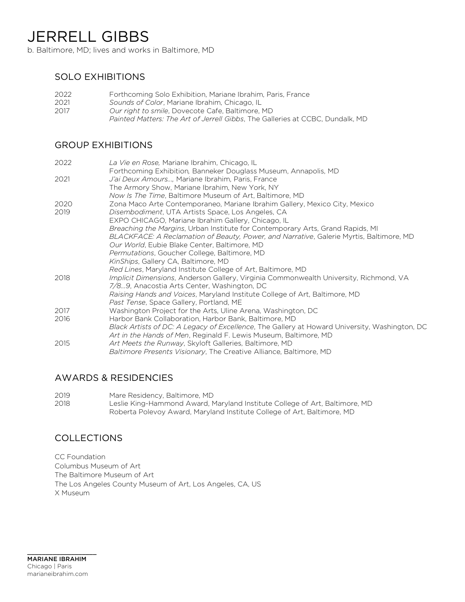# JERRELL GIBBS

b. Baltimore, MD; lives and works in Baltimore, MD

# SOLO EXHIBITIONS

 Forthcoming Solo Exhibition, Mariane Ibrahim, Paris, France *Sounds of Color*, Mariane Ibrahim, Chicago, IL *Our right to smile*, Dovecote Cafe, Baltimore, MD *Painted Matters: The Art of Jerrell Gibbs*, The Galleries at CCBC, Dundalk, MD

## GROUP EXHIBITIONS

| La Vie en Rose, Mariane Ibrahim, Chicago, IL                                                  |
|-----------------------------------------------------------------------------------------------|
| Forthcoming Exhibition, Banneker Douglass Museum, Annapolis, MD                               |
| J'ai Deux Amours, Mariane Ibrahim, Paris, France                                              |
| The Armory Show, Mariane Ibrahim, New York, NY                                                |
| Now Is The Time, Baltimore Museum of Art, Baltimore, MD                                       |
| Zona Maco Arte Contemporaneo, Mariane Ibrahim Gallery, Mexico City, Mexico                    |
| Disembodiment, UTA Artists Space, Los Angeles, CA                                             |
| EXPO CHICAGO, Mariane Ibrahim Gallery, Chicago, IL                                            |
| Breaching the Margins, Urban Institute for Contemporary Arts, Grand Rapids, MI                |
| BLACKFACE: A Reclamation of Beauty, Power, and Narrative, Galerie Myrtis, Baltimore, MD       |
| Our World, Eubie Blake Center, Baltimore, MD                                                  |
| Permutations, Goucher College, Baltimore, MD                                                  |
| KinShips, Gallery CA, Baltimore, MD                                                           |
| Red Lines, Maryland Institute College of Art, Baltimore, MD                                   |
| Implicit Dimensions, Anderson Gallery, Virginia Commonwealth University, Richmond, VA         |
| 7/89, Anacostia Arts Center, Washington, DC                                                   |
| Raising Hands and Voices, Maryland Institute College of Art, Baltimore, MD                    |
| <i>Past Tense</i> , Space Gallery, Portland, ME                                               |
| Washington Project for the Arts, Uline Arena, Washington, DC                                  |
| Harbor Bank Collaboration, Harbor Bank, Baltimore, MD                                         |
| Black Artists of DC: A Legacy of Excellence, The Gallery at Howard University, Washington, DC |
| Art in the Hands of Men, Reginald F. Lewis Museum, Baltimore, MD                              |
| Art Meets the Runway, Skyloft Galleries, Baltimore, MD                                        |
| <i>Baltimore Presents Visionary</i> , The Creative Alliance, Baltimore, MD                    |
|                                                                                               |

#### AWARDS & RESIDENCIES

2019 Mare Residency, Baltimore, MD 2018 Leslie King-Hammond Award, Maryland Institute College of Art, Baltimore, MD Roberta Polevoy Award, Maryland Institute College of Art, Baltimore, MD

## COLLECTIONS

CC Foundation Columbus Museum of Art The Baltimore Museum of Art The Los Angeles County Museum of Art, Los Angeles, CA, US X Museum